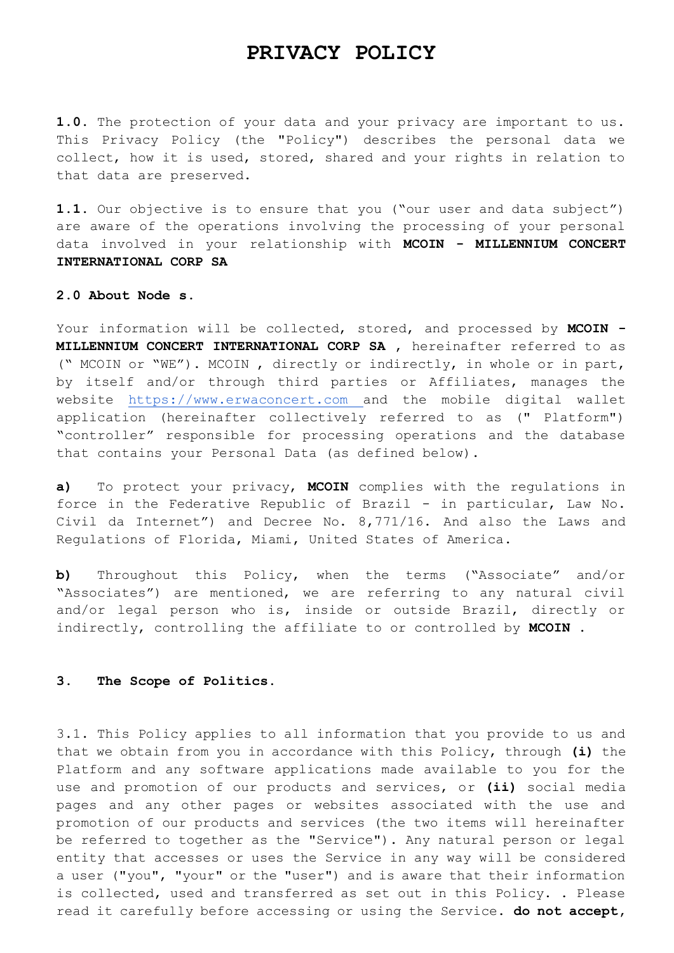# **PRIVACY POLICY**

**1.0.** The protection of your data and your privacy are important to us. This Privacy Policy (the "Policy") describes the personal data we collect, how it is used, stored, shared and your rights in relation to that data are preserved.

**1.1.** Our objective is to ensure that you ("our user and data subject") are aware of the operations involving the processing of your personal data involved in your relationship with **MCOIN - MILLENNIUM CONCERT INTERNATIONAL CORP SA**

### **2.0 About Node s.**

Your information will be collected, stored, and processed by **MCOIN - MILLENNIUM CONCERT INTERNATIONAL CORP SA** , hereinafter referred to as (" MCOIN or "WE"). MCOIN , directly or indirectly, in whole or in part, by itself and/or through third parties or Affiliates, manages the website [https://www.erwaconcert.com a](https://www.erwconcert.com/)nd the mobile digital wallet application (hereinafter collectively referred to as (" Platform") "controller" responsible for processing operations and the database that contains your Personal Data (as defined below).

**a)** To protect your privacy, **MCOIN** complies with the regulations in force in the Federative Republic of Brazil - in particular, Law No. Civil da Internet") and Decree No. 8,771/16. And also the Laws and Regulations of Florida, Miami, United States of America.

**b)** Throughout this Policy, when the terms ("Associate" and/or "Associates") are mentioned, we are referring to any natural civil and/or legal person who is, inside or outside Brazil, directly or indirectly, controlling the affiliate to or controlled by **MCOIN** .

#### **3. The Scope of Politics.**

3.1. This Policy applies to all information that you provide to us and that we obtain from you in accordance with this Policy, through **(i)** the Platform and any software applications made available to you for the use and promotion of our products and services, or **(ii)** social media pages and any other pages or websites associated with the use and promotion of our products and services (the two items will hereinafter be referred to together as the "Service"). Any natural person or legal entity that accesses or uses the Service in any way will be considered a user ("you", "your" or the "user") and is aware that their information is collected, used and transferred as set out in this Policy. . Please read it carefully before accessing or using the Service. **do not accept,**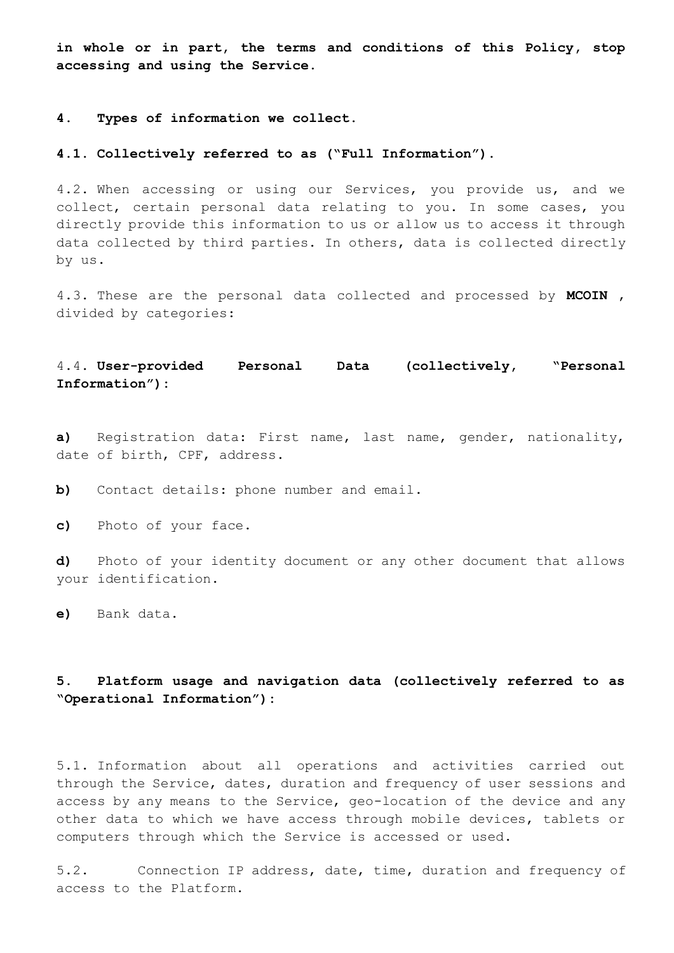**in whole or in part, the terms and conditions of this Policy, stop accessing and using the Service.**

# **4. Types of information we collect.**

#### **4.1. Collectively referred to as ("Full Information").**

4.2. When accessing or using our Services, you provide us, and we collect, certain personal data relating to you. In some cases, you directly provide this information to us or allow us to access it through data collected by third parties. In others, data is collected directly by us.

4.3. These are the personal data collected and processed by **MCOIN** , divided by categories:

# 4.4. **User-provided Personal Data (collectively, "Personal Information"):**

**a)** Registration data: First name, last name, gender, nationality, date of birth, CPF, address.

**b)** Contact details: phone number and email.

**c)** Photo of your face.

**d)** Photo of your identity document or any other document that allows your identification.

**e)** Bank data.

# **5. Platform usage and navigation data (collectively referred to as "Operational Information"):**

5.1. Information about all operations and activities carried out through the Service, dates, duration and frequency of user sessions and access by any means to the Service, geo-location of the device and any other data to which we have access through mobile devices, tablets or computers through which the Service is accessed or used.

5.2. Connection IP address, date, time, duration and frequency of access to the Platform.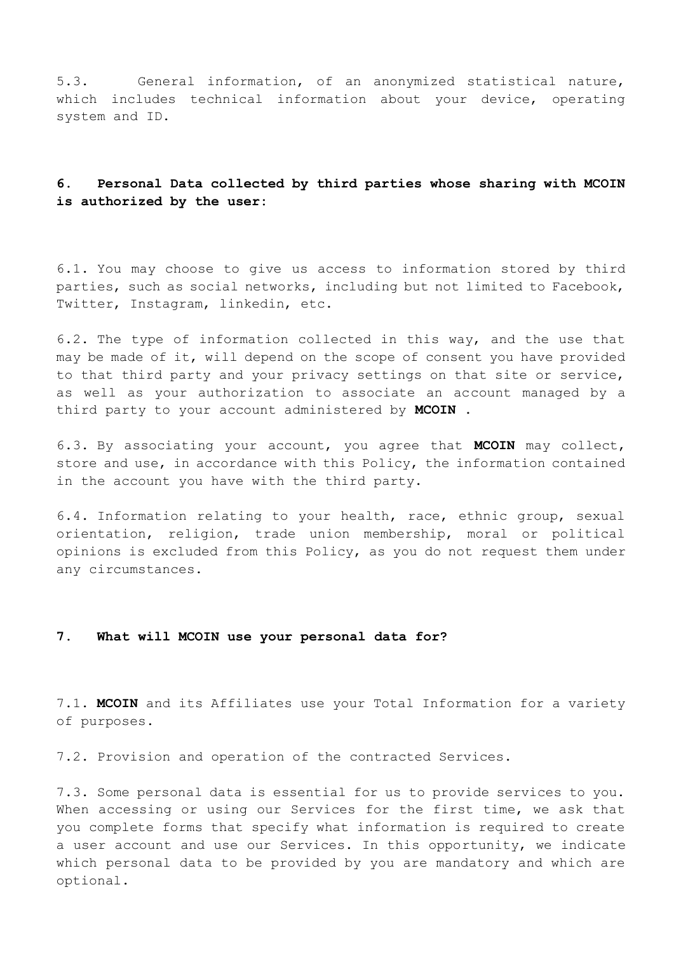5.3. General information, of an anonymized statistical nature, which includes technical information about your device, operating system and ID.

# **6. Personal Data collected by third parties whose sharing with MCOIN is authorized by the user:**

6.1. You may choose to give us access to information stored by third parties, such as social networks, including but not limited to Facebook, Twitter, Instagram, linkedin, etc.

6.2. The type of information collected in this way, and the use that may be made of it, will depend on the scope of consent you have provided to that third party and your privacy settings on that site or service, as well as your authorization to associate an account managed by a third party to your account administered by **MCOIN** .

6.3. By associating your account, you agree that **MCOIN** may collect, store and use, in accordance with this Policy, the information contained in the account you have with the third party.

6.4. Information relating to your health, race, ethnic group, sexual orientation, religion, trade union membership, moral or political opinions is excluded from this Policy, as you do not request them under any circumstances.

# **7. What will MCOIN use your personal data for?**

7.1. **MCOIN** and its Affiliates use your Total Information for a variety of purposes.

7.2. Provision and operation of the contracted Services.

7.3. Some personal data is essential for us to provide services to you. When accessing or using our Services for the first time, we ask that you complete forms that specify what information is required to create a user account and use our Services. In this opportunity, we indicate which personal data to be provided by you are mandatory and which are optional.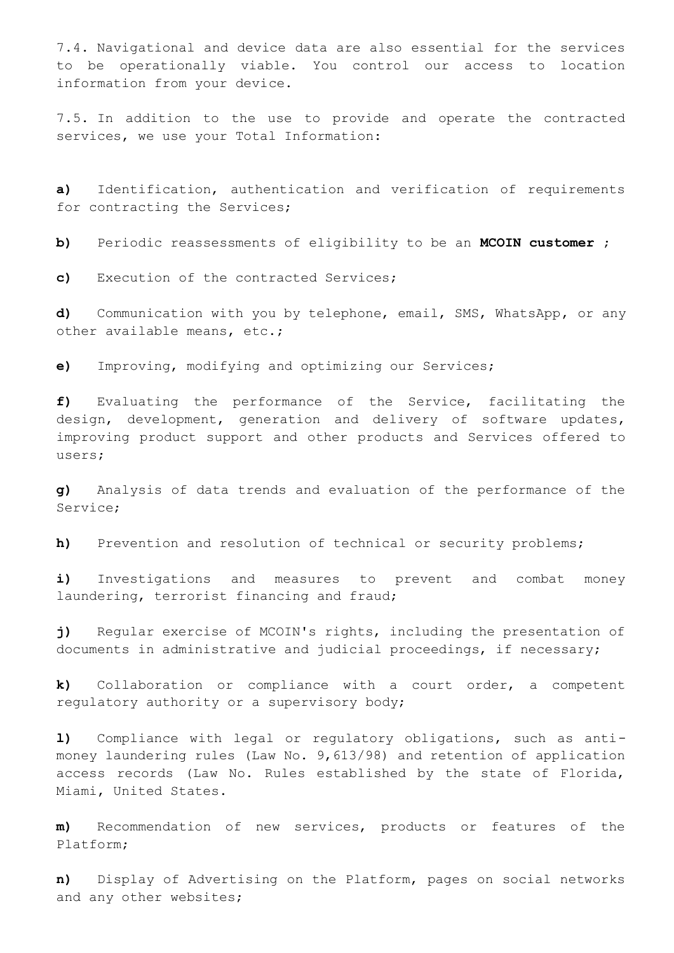7.4. Navigational and device data are also essential for the services to be operationally viable. You control our access to location information from your device.

7.5. In addition to the use to provide and operate the contracted services, we use your Total Information:

**a)** Identification, authentication and verification of requirements for contracting the Services;

**b)** Periodic reassessments of eligibility to be an **MCOIN customer** ;

**c)** Execution of the contracted Services;

**d)** Communication with you by telephone, email, SMS, WhatsApp, or any other available means, etc.;

**e)** Improving, modifying and optimizing our Services;

**f)** Evaluating the performance of the Service, facilitating the design, development, generation and delivery of software updates, improving product support and other products and Services offered to users;

**g)** Analysis of data trends and evaluation of the performance of the Service;

**h)** Prevention and resolution of technical or security problems;

**i)** Investigations and measures to prevent and combat money laundering, terrorist financing and fraud;

**j)** Regular exercise of MCOIN's rights, including the presentation of documents in administrative and judicial proceedings, if necessary;

**k)** Collaboration or compliance with a court order, a competent regulatory authority or a supervisory body;

**l)** Compliance with legal or regulatory obligations, such as antimoney laundering rules (Law No. 9,613/98) and retention of application access records (Law No. Rules established by the state of Florida, Miami, United States.

**m)** Recommendation of new services, products or features of the Platform;

**n)** Display of Advertising on the Platform, pages on social networks and any other websites;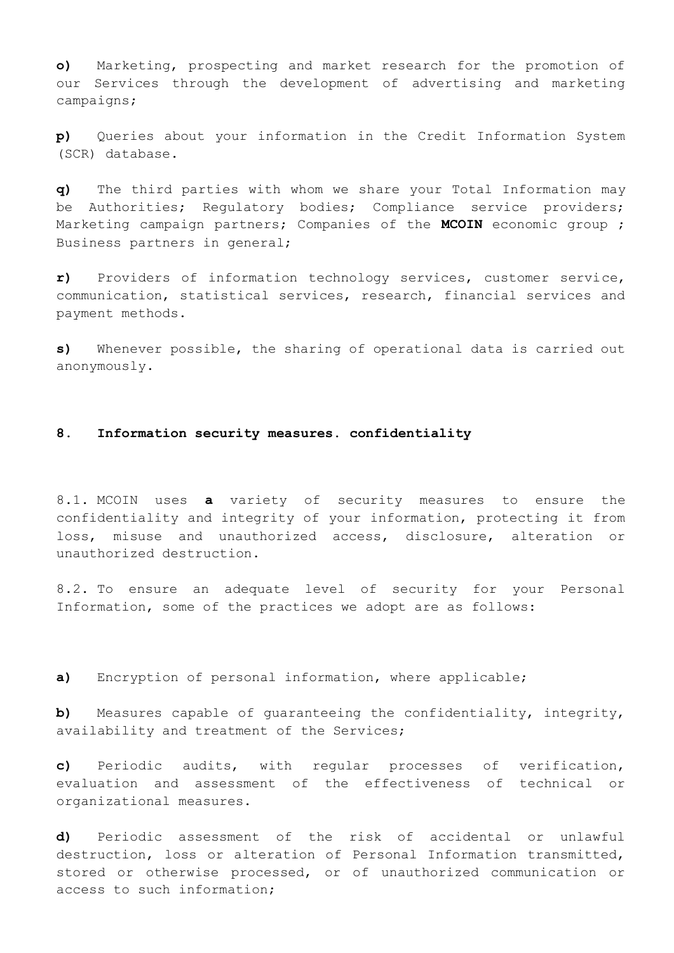**o)** Marketing, prospecting and market research for the promotion of our Services through the development of advertising and marketing campaigns;

**p)** Queries about your information in the Credit Information System (SCR) database.

**q)** The third parties with whom we share your Total Information may be Authorities; Regulatory bodies; Compliance service providers; Marketing campaign partners; Companies of the **MCOIN** economic group ; Business partners in general;

**r)** Providers of information technology services, customer service, communication, statistical services, research, financial services and payment methods.

**s)** Whenever possible, the sharing of operational data is carried out anonymously.

### **8. Information security measures. confidentiality**

8.1. MCOIN uses **a** variety of security measures to ensure the confidentiality and integrity of your information, protecting it from loss, misuse and unauthorized access, disclosure, alteration or unauthorized destruction.

8.2. To ensure an adequate level of security for your Personal Information, some of the practices we adopt are as follows:

**a)** Encryption of personal information, where applicable;

**b)** Measures capable of guaranteeing the confidentiality, integrity, availability and treatment of the Services;

**c)** Periodic audits, with regular processes of verification, evaluation and assessment of the effectiveness of technical or organizational measures.

**d)** Periodic assessment of the risk of accidental or unlawful destruction, loss or alteration of Personal Information transmitted, stored or otherwise processed, or of unauthorized communication or access to such information;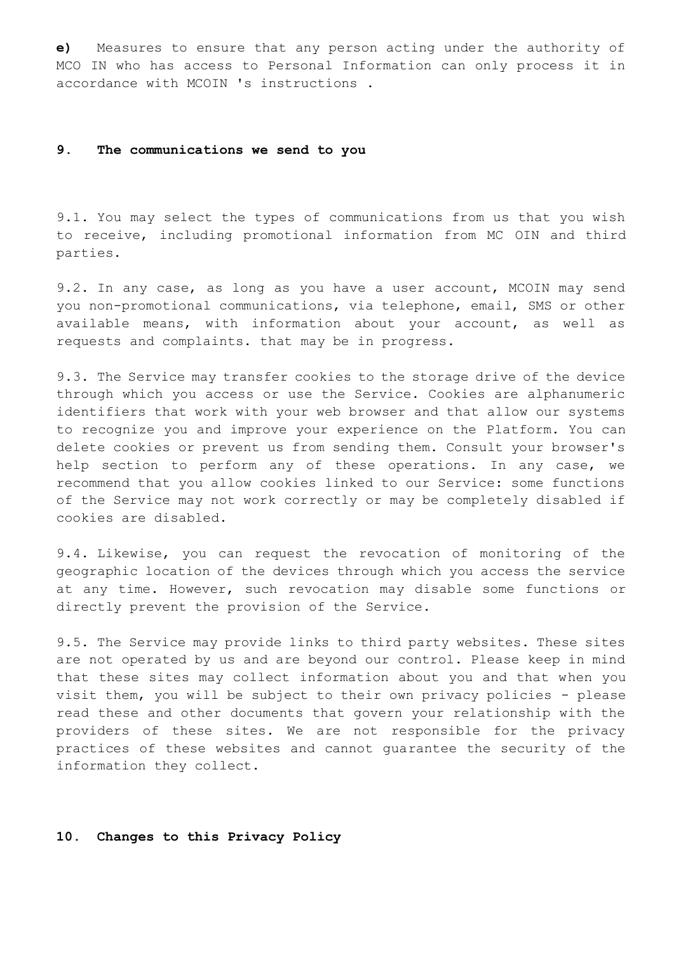**e)** Measures to ensure that any person acting under the authority of MCO IN who has access to Personal Information can only process it in accordance with MCOIN 's instructions .

### **9. The communications we send to you**

9.1. You may select the types of communications from us that you wish to receive, including promotional information from MC OIN and third parties.

9.2. In any case, as long as you have a user account, MCOIN may send you non-promotional communications, via telephone, email, SMS or other available means, with information about your account, as well as requests and complaints. that may be in progress.

9.3. The Service may transfer cookies to the storage drive of the device through which you access or use the Service. Cookies are alphanumeric identifiers that work with your web browser and that allow our systems to recognize you and improve your experience on the Platform. You can delete cookies or prevent us from sending them. Consult your browser's help section to perform any of these operations. In any case, we recommend that you allow cookies linked to our Service: some functions of the Service may not work correctly or may be completely disabled if cookies are disabled.

9.4. Likewise, you can request the revocation of monitoring of the geographic location of the devices through which you access the service at any time. However, such revocation may disable some functions or directly prevent the provision of the Service.

9.5. The Service may provide links to third party websites. These sites are not operated by us and are beyond our control. Please keep in mind that these sites may collect information about you and that when you visit them, you will be subject to their own privacy policies - please read these and other documents that govern your relationship with the providers of these sites. We are not responsible for the privacy practices of these websites and cannot guarantee the security of the information they collect.

# **10. Changes to this Privacy Policy**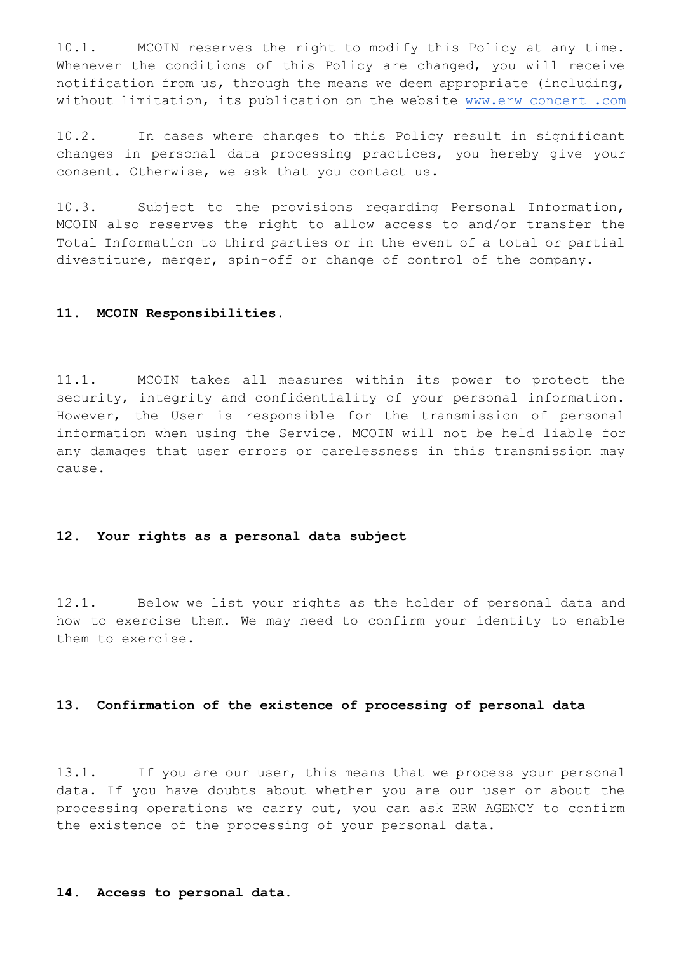10.1. MCOIN reserves the right to modify this Policy at any time. Whenever the conditions of this Policy are changed, you will receive notification from us, through the means we deem appropriate (including, without limitation, its publication on the website [www.erw concert .com](http://www.erwconcert.com/) 

10.2. In cases where changes to this Policy result in significant changes in personal data processing practices, you hereby give your consent. Otherwise, we ask that you contact us.

10.3. Subject to the provisions regarding Personal Information, MCOIN also reserves the right to allow access to and/or transfer the Total Information to third parties or in the event of a total or partial divestiture, merger, spin-off or change of control of the company.

#### **11. MCOIN Responsibilities.**

11.1. MCOIN takes all measures within its power to protect the security, integrity and confidentiality of your personal information. However, the User is responsible for the transmission of personal information when using the Service. MCOIN will not be held liable for any damages that user errors or carelessness in this transmission may cause.

# **12. Your rights as a personal data subject**

12.1. Below we list your rights as the holder of personal data and how to exercise them. We may need to confirm your identity to enable them to exercise.

## **13. Confirmation of the existence of processing of personal data**

13.1. If you are our user, this means that we process your personal data. If you have doubts about whether you are our user or about the processing operations we carry out, you can ask ERW AGENCY to confirm the existence of the processing of your personal data.

#### **14. Access to personal data.**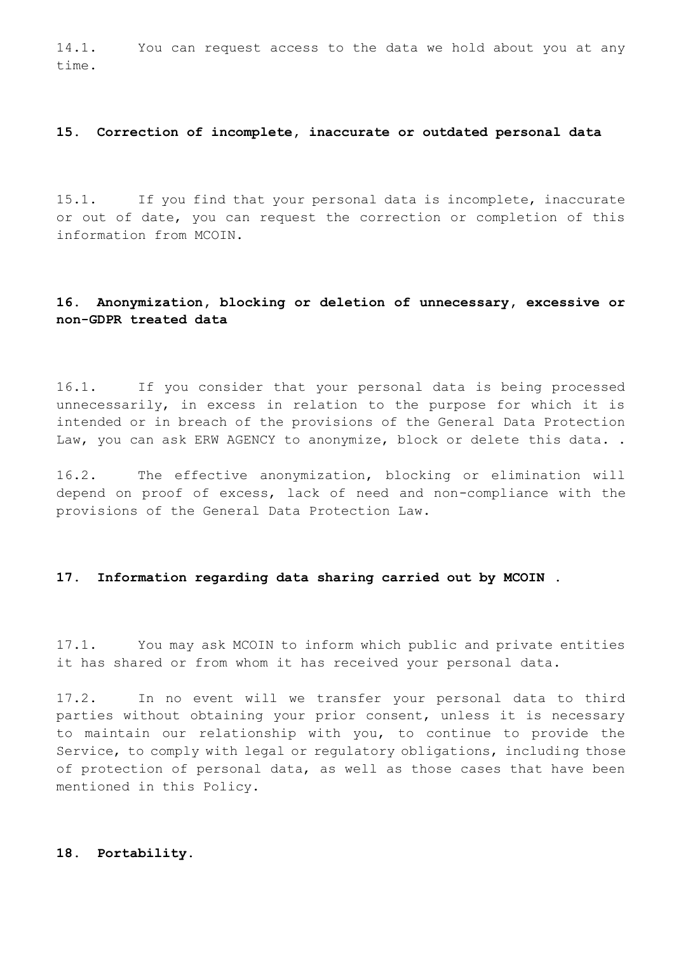14.1. You can request access to the data we hold about you at any time.

# **15. Correction of incomplete, inaccurate or outdated personal data**

15.1. If you find that your personal data is incomplete, inaccurate or out of date, you can request the correction or completion of this information from MCOIN.

# **16. Anonymization, blocking or deletion of unnecessary, excessive or non-GDPR treated data**

16.1. If you consider that your personal data is being processed unnecessarily, in excess in relation to the purpose for which it is intended or in breach of the provisions of the General Data Protection Law, you can ask ERW AGENCY to anonymize, block or delete this data..

16.2. The effective anonymization, blocking or elimination will depend on proof of excess, lack of need and non-compliance with the provisions of the General Data Protection Law.

### **17. Information regarding data sharing carried out by MCOIN .**

17.1. You may ask MCOIN to inform which public and private entities it has shared or from whom it has received your personal data.

17.2. In no event will we transfer your personal data to third parties without obtaining your prior consent, unless it is necessary to maintain our relationship with you, to continue to provide the Service, to comply with legal or regulatory obligations, including those of protection of personal data, as well as those cases that have been mentioned in this Policy.

# **18. Portability.**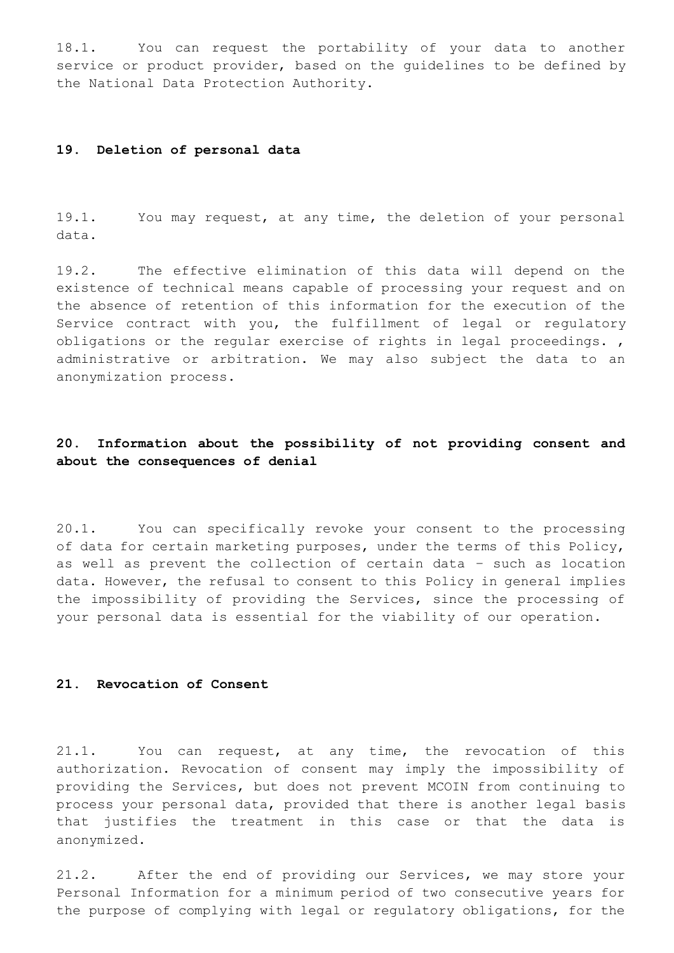18.1. You can request the portability of your data to another service or product provider, based on the guidelines to be defined by the National Data Protection Authority.

### **19. Deletion of personal data**

19.1. You may request, at any time, the deletion of your personal data.

19.2. The effective elimination of this data will depend on the existence of technical means capable of processing your request and on the absence of retention of this information for the execution of the Service contract with you, the fulfillment of legal or regulatory obligations or the regular exercise of rights in legal proceedings. , administrative or arbitration. We may also subject the data to an anonymization process.

# **20. Information about the possibility of not providing consent and about the consequences of denial**

20.1. You can specifically revoke your consent to the processing of data for certain marketing purposes, under the terms of this Policy, as well as prevent the collection of certain data – such as location data. However, the refusal to consent to this Policy in general implies the impossibility of providing the Services, since the processing of your personal data is essential for the viability of our operation.

### **21. Revocation of Consent**

21.1. You can request, at any time, the revocation of this authorization. Revocation of consent may imply the impossibility of providing the Services, but does not prevent MCOIN from continuing to process your personal data, provided that there is another legal basis that justifies the treatment in this case or that the data is anonymized.

21.2. After the end of providing our Services, we may store your Personal Information for a minimum period of two consecutive years for the purpose of complying with legal or regulatory obligations, for the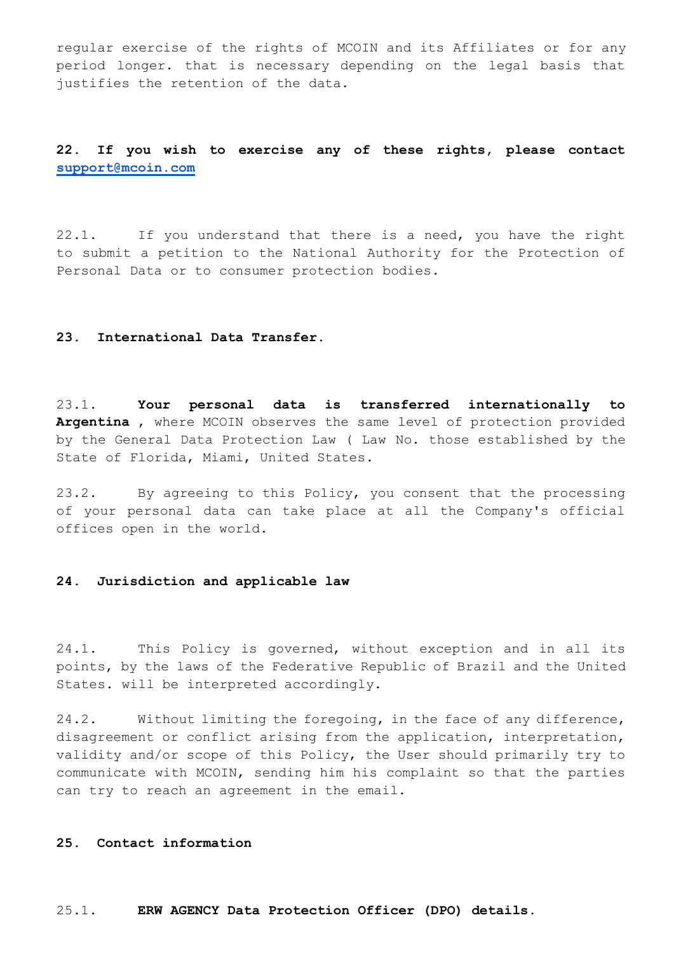regular exercise of the rights of MCOIN and its Affiliates or for any period longer. that is necessary depending on the legal basis that justifies the retention of the data.

# **22. If you wish to exercise any of these rights, please contact [support@mcoin.com](mailto:suporte@erwagency.com)**

22.1. If you understand that there is a need, you have the right to submit a petition to the National Authority for the Protection of Personal Data or to consumer protection bodies.

# **23. International Data Transfer.**

23.1. **Your personal data is transferred internationally to Argentina** , where MCOIN observes the same level of protection provided by the General Data Protection Law ( Law No. those established by the State of Florida, Miami, United States.

23.2. By agreeing to this Policy, you consent that the processing of your personal data can take place at all the Company's official offices open in the world.

# **24. Jurisdiction and applicable law**

24.1. This Policy is governed, without exception and in all its points, by the laws of the Federative Republic of Brazil and the United States. will be interpreted accordingly.

24.2. Without limiting the foregoing, in the face of any difference, disagreement or conflict arising from the application, interpretation, validity and/or scope of this Policy, the User should primarily try to communicate with MCOIN, sending him his complaint so that the parties can try to reach an agreement in the email.

### **25. Contact information**